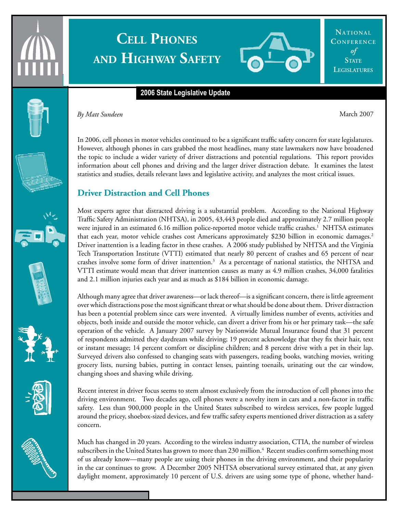

# **Cell Phones and Highway Safety**



**Na t i ona l** CONFERENCE *of* **STATE Legislatures**

#### **2006 State Legislative Update**



**By Matt Sundeen** March 2007

In 2006, cell phones in motor vehicles continued to be a significant traffic safety concern for state legislatures. However, although phones in cars grabbed the most headlines, many state lawmakers now have broadened the topic to include a wider variety of driver distractions and potential regulations. This report provides information about cell phones and driving and the larger driver distraction debate. It examines the latest statistics and studies, details relevant laws and legislative activity, and analyzes the most critical issues.

## **Driver Distraction and Cell Phones**

Most experts agree that distracted driving is a substantial problem. According to the National Highway Traffic Safety Administration (NHTSA), in 2005, 43,443 people died and approximately 2.7 million people were injured in an estimated 6.16 million police-reported motor vehicle traffic crashes.<sup>1</sup> NHTSA estimates that each year, motor vehicle crashes cost Americans approximately \$230 billion in economic damages.2 Driver inattention is a leading factor in these crashes. A 2006 study published by NHTSA and the Virginia Tech Transportation Institute (VTTI) estimated that nearly 80 percent of crashes and 65 percent of near crashes involve some form of driver inattention.<sup>3</sup> As a percentage of national statistics, the NHTSA and VTTI estimate would mean that driver inattention causes as many as 4.9 million crashes, 34,000 fatalities and 2.1 million injuries each year and as much as \$184 billion in economic damage.

Although many agree that driver awareness—or lack thereof—is a significant concern, there is little agreement over which distractions pose the most significant threat or what should be done about them. Driver distraction has been a potential problem since cars were invented. A virtually limitless number of events, activities and objects, both inside and outside the motor vehicle, can divert a driver from his or her primary task—the safe operation of the vehicle. A January 2007 survey by Nationwide Mutual Insurance found that 31 percent of respondents admitted they daydream while driving; 19 percent acknowledge that they fix their hair, text or instant message; 14 percent comfort or discipline children; and 8 percent drive with a pet in their lap. Surveyed drivers also confessed to changing seats with passengers, reading books, watching movies, writing grocery lists, nursing babies, putting in contact lenses, painting toenails, urinating out the car window, changing shoes and shaving while driving.

Recent interest in driver focus seems to stem almost exclusively from the introduction of cell phones into the driving environment. Two decades ago, cell phones were a novelty item in cars and a non-factor in traffic safety. Less than 900,000 people in the United States subscribed to wireless services, few people lugged around the pricey, shoebox-sized devices, and few traffic safety experts mentioned driver distraction as a safety concern.

Much has changed in 20 years. According to the wireless industry association, CTIA, the number of wireless subscribers in the United States has grown to more than 230 million.<sup>4</sup> Recent studies confirm something most of us already know—many people are using their phones in the driving environment, and their popularity in the car continues to grow. A December 2005 NHTSA observational survey estimated that, at any given daylight moment, approximately 10 percent of U.S. drivers are using some type of phone, whether hand-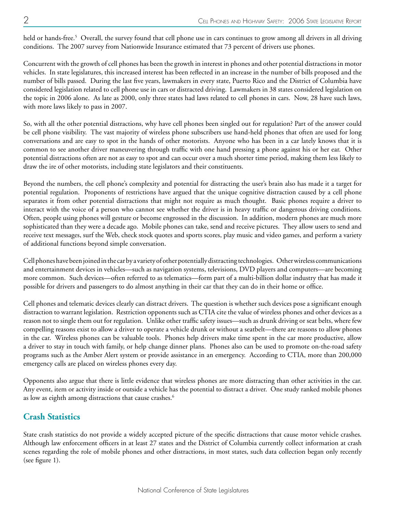held or hands-free.<sup>5</sup> Overall, the survey found that cell phone use in cars continues to grow among all drivers in all driving conditions. The 2007 survey from Nationwide Insurance estimated that 73 percent of drivers use phones.

Concurrent with the growth of cell phones has been the growth in interest in phones and other potential distractions in motor vehicles. In state legislatures, this increased interest has been reflected in an increase in the number of bills proposed and the number of bills passed. During the last five years, lawmakers in every state, Puerto Rico and the District of Columbia have considered legislation related to cell phone use in cars or distracted driving. Lawmakers in 38 states considered legislation on the topic in 2006 alone. As late as 2000, only three states had laws related to cell phones in cars. Now, 28 have such laws, with more laws likely to pass in 2007.

So, with all the other potential distractions, why have cell phones been singled out for regulation? Part of the answer could be cell phone visibility. The vast majority of wireless phone subscribers use hand-held phones that often are used for long conversations and are easy to spot in the hands of other motorists. Anyone who has been in a car lately knows that it is common to see another driver maneuvering through traffic with one hand pressing a phone against his or her ear. Other potential distractions often are not as easy to spot and can occur over a much shorter time period, making them less likely to draw the ire of other motorists, including state legislators and their constituents.

Beyond the numbers, the cell phone's complexity and potential for distracting the user's brain also has made it a target for potential regulation. Proponents of restrictions have argued that the unique cognitive distraction caused by a cell phone separates it from other potential distractions that might not require as much thought. Basic phones require a driver to interact with the voice of a person who cannot see whether the driver is in heavy traffic or dangerous driving conditions. Often, people using phones will gesture or become engrossed in the discussion. In addition, modern phones are much more sophisticated than they were a decade ago. Mobile phones can take, send and receive pictures. They allow users to send and receive text messages, surf the Web, check stock quotes and sports scores, play music and video games, and perform a variety of additional functions beyond simple conversation.

Cell phones have been joined in the car by a variety of other potentially distracting technologies. Other wireless communications and entertainment devices in vehicles—such as navigation systems, televisions, DVD players and computers—are becoming more common. Such devices—often referred to as telematics—form part of a multi-billion dollar industry that has made it possible for drivers and passengers to do almost anything in their car that they can do in their home or office.

Cell phones and telematic devices clearly can distract drivers. The question is whether such devices pose a significant enough distraction to warrant legislation. Restriction opponents such as CTIA cite the value of wireless phones and other devices as a reason not to single them out for regulation. Unlike other traffic safety issues—such as drunk driving or seat belts, where few compelling reasons exist to allow a driver to operate a vehicle drunk or without a seatbelt—there are reasons to allow phones in the car. Wireless phones can be valuable tools. Phones help drivers make time spent in the car more productive, allow a driver to stay in touch with family, or help change dinner plans. Phones also can be used to promote on-the-road safety programs such as the Amber Alert system or provide assistance in an emergency. According to CTIA, more than 200,000 emergency calls are placed on wireless phones every day.

Opponents also argue that there is little evidence that wireless phones are more distracting than other activities in the car. Any event, item or activity inside or outside a vehicle has the potential to distract a driver. One study ranked mobile phones as low as eighth among distractions that cause crashes.<sup>6</sup>

## **Crash Statistics**

State crash statistics do not provide a widely accepted picture of the specific distractions that cause motor vehicle crashes. Although law enforcement officers in at least 27 states and the District of Columbia currently collect information at crash scenes regarding the role of mobile phones and other distractions, in most states, such data collection began only recently (see figure 1).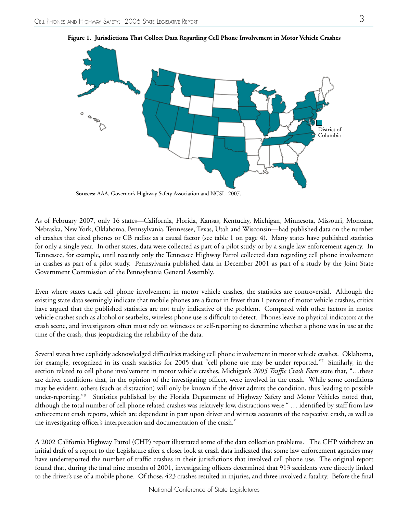

**Figure 1. Jurisdictions That Collect Data Regarding Cell Phone Involvement in Motor Vehicle Crashes**

 **Sources:** AAA, Governor's Highway Safety Association and NCSL, 2007.

As of February 2007, only 16 states—California, Florida, Kansas, Kentucky, Michigan, Minnesota, Missouri, Montana, Nebraska, New York, Oklahoma, Pennsylvania, Tennessee, Texas, Utah and Wisconsin—had published data on the number of crashes that cited phones or CB radios as a causal factor (see table 1 on page 4). Many states have published statistics for only a single year. In other states, data were collected as part of a pilot study or by a single law enforcement agency. In Tennessee, for example, until recently only the Tennessee Highway Patrol collected data regarding cell phone involvement in crashes as part of a pilot study. Pennsylvania published data in December 2001 as part of a study by the Joint State Government Commission of the Pennsylvania General Assembly.

Even where states track cell phone involvement in motor vehicle crashes, the statistics are controversial. Although the existing state data seemingly indicate that mobile phones are a factor in fewer than 1 percent of motor vehicle crashes, critics have argued that the published statistics are not truly indicative of the problem. Compared with other factors in motor vehicle crashes such as alcohol or seatbelts, wireless phone use is difficult to detect. Phones leave no physical indicators at the crash scene, and investigators often must rely on witnesses or self-reporting to determine whether a phone was in use at the time of the crash, thus jeopardizing the reliability of the data.

Several states have explicitly acknowledged difficulties tracking cell phone involvement in motor vehicle crashes. Oklahoma, for example, recognized in its crash statistics for 2005 that "cell phone use may be under reported."7 Similarly, in the section related to cell phone involvement in motor vehicle crashes, Michigan's *2005 Traffic Crash Facts* state that, "…these are driver conditions that, in the opinion of the investigating officer, were involved in the crash. While some conditions may be evident, others (such as distraction) will only be known if the driver admits the condition, thus leading to possible under-reporting."8 Statistics published by the Florida Department of Highway Safety and Motor Vehicles noted that, although the total number of cell phone related crashes was relatively low, distractions were " … identified by staff from law enforcement crash reports, which are dependent in part upon driver and witness accounts of the respective crash, as well as the investigating officer's interpretation and documentation of the crash."

A 2002 California Highway Patrol (CHP) report illustrated some of the data collection problems. The CHP withdrew an initial draft of a report to the Legislature after a closer look at crash data indicated that some law enforcement agencies may have underreported the number of traffic crashes in their jurisdictions that involved cell phone use. The original report found that, during the final nine months of 2001, investigating officers determined that 913 accidents were directly linked to the driver's use of a mobile phone. Of those, 423 crashes resulted in injuries, and three involved a fatality. Before the final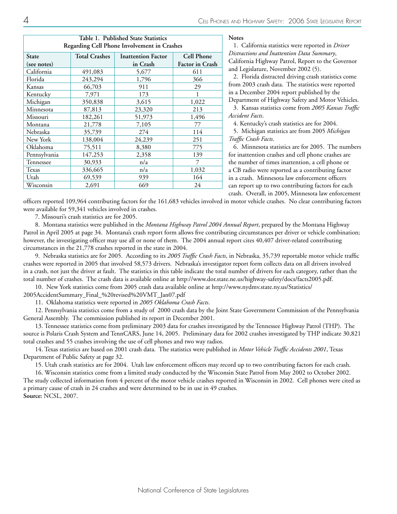| Table 1. Published State Statistics<br>Regarding Cell Phone Involvement in Crashes |                      |                           |                        |  |
|------------------------------------------------------------------------------------|----------------------|---------------------------|------------------------|--|
| State                                                                              | <b>Total Crashes</b> | <b>Inattention Factor</b> | <b>Cell Phone</b>      |  |
| (see notes)                                                                        |                      | in Crash                  | <b>Factor in Crash</b> |  |
| California                                                                         | 491,083              | 5,677                     | 611                    |  |
| Florida                                                                            | 243,294              | 1,796                     | 366                    |  |
| Kansas                                                                             | 66,703               | 911                       | 29                     |  |
| Kentucky                                                                           | 7,971                | 173                       |                        |  |
| Michigan                                                                           | 350,838              | 3,615                     | 1,022                  |  |
| Minnesota                                                                          | 87,813               | 23,320                    | 213                    |  |
| Missouri                                                                           | 182,261              | 51,973                    | 1,496                  |  |
| Montana                                                                            | 21,778               | 7,105                     | 77                     |  |
| Nebraska                                                                           | 35,739               | 274                       | 114                    |  |
| New York                                                                           | 138,004              | 24,239                    | 251                    |  |
| Oklahoma                                                                           | 75,511               | 8,380                     | 775                    |  |
| Pennsylvania                                                                       | 147,253              | 2,358                     | 139                    |  |
| Tennessee                                                                          | 30,933               | n/a                       | 7                      |  |
| Texas                                                                              | 336,665              | n/a                       | 1,032                  |  |
| Utah                                                                               | 69,539               | 939                       | 164                    |  |
| Wisconsin                                                                          | 2,691                | 669                       | 24                     |  |

**Notes**

1. California statistics were reported in *Driver Distractions and Inattention Data Summary*, California Highway Patrol, Report to the Governor and Legislature, November 2002 (5).

2. Florida distracted driving crash statistics come from 2003 crash data. The statistics were reported in a December 2004 report published by the Department of Highway Safety and Motor Vehicles. 3. Kansas statistics come from *2005 Kansas Traffic* 

*Accident Facts*.

4. Kentucky's crash statistics are for 2004.

5. Michigan statistics are from 2005 *Michigan Traffic Crash Facts*.

6. Minnesota statistics are for 2005. The numbers for inattention crashes and cell phone crashes are the number of times inattention, a cell phone or a CB radio were reported as a contributing factor in a crash. Minnesota law enforcement officers can report up to two contributing factors for each crash. Overall, in 2005, Minnesota law enforcement

officers reported 109,964 contributing factors for the 161,683 vehicles involved in motor vehicle crashes. No clear contributing factors were available for 59,341 vehicles involved in crashes.

7. Missouri's crash statistics are for 2005.

8. Montana statistics were published in the *Montana Highway Patrol 2004 Annual Report*, prepared by the Montana Highway Patrol in April 2005 at page 34. Montana's crash report form allows five contributing circumstances per driver or vehicle combination; however, the investigating officer may use all or none of them. The 2004 annual report cites 40,407 driver-related contributing circumstances in the 21,778 crashes reported in the state in 2004.

9. Nebraska statistics are for 2005. According to its *2005 Traffic Crash Facts*, in Nebraska, 35,739 reportable motor vehicle traffic crashes were reported in 2005 that involved 58,573 drivers. Nebraska's investigator report form collects data on all drivers involved in a crash, not just the driver at fault. The statistics in this table indicate the total number of drivers for each category, rather than the total number of crashes. The crash data is available online at http://www.dor.state.ne.us/highway-safety/docs/facts2005.pdf.

10. New York statistics come from 2005 crash data available online at http://www.nydmv.state.ny.us/Statistics/

2005AccidentSummary\_Final\_%20revised%20VMT\_Jan07.pdf

11. Oklahoma statistics were reported in *2005 Oklahoma Crash Facts*.

12. Pennsylvania statistics come from a study of 2000 crash data by the Joint State Government Commission of the Pennsylvania General Assembly. The commission published its report in December 2001.

13. Tennessee statistics come from preliminary 2003 data for crashes investigated by the Tennessee Highway Patrol (THP). The source is Polaris Crash System and TennCARS, June 14, 2005. Preliminary data for 2002 crashes investigated by THP indicate 30,821 total crashes and 55 crashes involving the use of cell phones and two way radios.

14. Texas statistics are based on 2001 crash data. The statistics were published in *Motor Vehicle Traffic Accidents 2001*, Texas Department of Public Safety at page 32.

15. Utah crash statistics are for 2004. Utah law enforcement officers may record up to two contributing factors for each crash.

16. Wisconsin statistics come from a limited study conducted by the Wisconsin State Patrol from May 2002 to October 2002. The study collected information from 4 percent of the motor vehicle crashes reported in Wisconsin in 2002. Cell phones were cited as a primary cause of crash in 24 crashes and were determined to be in use in 49 crashes. **Source:** NCSL, 2007.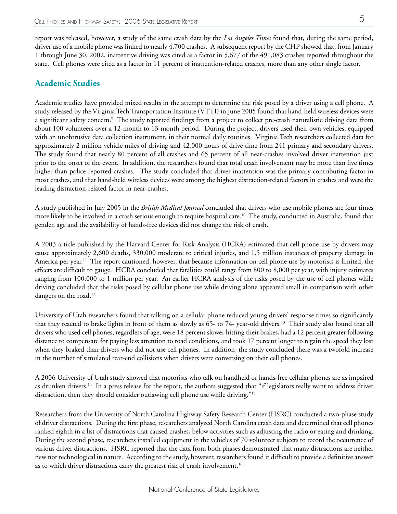report was released, however, a study of the same crash data by the *Los Angeles Times* found that, during the same period, driver use of a mobile phone was linked to nearly 4,700 crashes. A subsequent report by the CHP showed that, from January 1 through June 30, 2002, inattentive driving was cited as a factor in 5,677 of the 491,083 crashes reported throughout the state. Cell phones were cited as a factor in 11 percent of inattention-related crashes, more than any other single factor.

## **Academic Studies**

Academic studies have provided mixed results in the attempt to determine the risk posed by a driver using a cell phone. A study released by the Virginia Tech Transportation Institute (VTTI) in June 2005 found that hand-held wireless devices were a significant safety concern.9 The study reported findings from a project to collect pre-crash naturalistic driving data from about 100 volunteers over a 12-month to 13-month period. During the project, drivers used their own vehicles, equipped with an unobtrusive data collection instrument, in their normal daily routines. Virginia Tech researchers collected data for approximately 2 million vehicle miles of driving and 42,000 hours of drive time from 241 primary and secondary drivers. The study found that nearly 80 percent of all crashes and 65 percent of all near-crashes involved driver inattention just prior to the onset of the event. In addition, the researchers found that total crash involvement may be more than five times higher than police-reported crashes. The study concluded that driver inattention was the primary contributing factor in most crashes, and that hand-held wireless devices were among the highest distraction-related factors in crashes and were the leading distraction-related factor in near-crashes.

A study published in July 2005 in the *British Medical Journal* concluded that drivers who use mobile phones are four times more likely to be involved in a crash serious enough to require hospital care.<sup>10</sup> The study, conducted in Australia, found that gender, age and the availability of hands-free devices did not change the risk of crash.

A 2003 article published by the Harvard Center for Risk Analysis (HCRA) estimated that cell phone use by drivers may cause approximately 2,600 deaths, 330,000 moderate to critical injuries, and 1.5 million instances of property damage in America per year.<sup>11</sup> The report cautioned, however, that because information on cell phone use by motorists is limited, the effects are difficult to gauge. HCRA concluded that fatalities could range from 800 to 8,000 per year, with injury estimates ranging from 100,000 to 1 million per year. An earlier HCRA analysis of the risks posed by the use of cell phones while driving concluded that the risks posed by cellular phone use while driving alone appeared small in comparison with other dangers on the road.<sup>12</sup>

University of Utah researchers found that talking on a cellular phone reduced young drivers' response times so significantly that they reacted to brake lights in front of them as slowly as  $65-$  to  $74-$  year-old drivers.<sup>13</sup> Their study also found that all drivers who used cell phones, regardless of age, were 18 percent slower hitting their brakes, had a 12 percent greater following distance to compensate for paying less attention to road conditions, and took 17 percent longer to regain the speed they lost when they braked than drivers who did not use cell phones. In addition, the study concluded there was a twofold increase in the number of simulated rear-end collisions when drivers were conversing on their cell phones.

A 2006 University of Utah study showed that motorists who talk on handheld or hands-free cellular phones are as impaired as drunken drivers.<sup>14</sup> In a press release for the report, the authors suggested that "if legislators really want to address driver distraction, then they should consider outlawing cell phone use while driving."<sup>15</sup>

Researchers from the University of North Carolina Highway Safety Research Center (HSRC) conducted a two-phase study of driver distractions. During the first phase, researchers analyzed North Carolina crash data and determined that cell phones ranked eighth in a list of distractions that caused crashes, below activities such as adjusting the radio or eating and drinking. During the second phase, researchers installed equipment in the vehicles of 70 volunteer subjects to record the occurrence of various driver distractions. HSRC reported that the data from both phases demonstrated that many distractions are neither new nor technological in nature. According to the study, however, researchers found it difficult to provide a definitive answer as to which driver distractions carry the greatest risk of crash involvement.<sup>16</sup>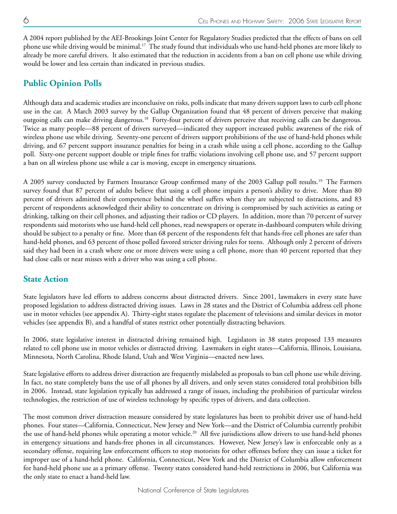A 2004 report published by the AEI-Brookings Joint Center for Regulatory Studies predicted that the effects of bans on cell phone use while driving would be minimal.17 The study found that individuals who use hand-held phones are more likely to already be more careful drivers. It also estimated that the reduction in accidents from a ban on cell phone use while driving would be lower and less certain than indicated in previous studies.

# **Public Opinion Polls**

Although data and academic studies are inconclusive on risks, polls indicate that many drivers support laws to curb cell phone use in the car. A March 2003 survey by the Gallup Organization found that 48 percent of drivers perceive that making outgoing calls can make driving dangerous.18 Forty-four percent of drivers perceive that receiving calls can be dangerous. Twice as many people—88 percent of drivers surveyed—indicated they support increased public awareness of the risk of wireless phone use while driving. Seventy-one percent of drivers support prohibitions of the use of hand-held phones while driving, and 67 percent support insurance penalties for being in a crash while using a cell phone, according to the Gallup poll. Sixty-one percent support double or triple fines for traffic violations involving cell phone use, and 57 percent support a ban on all wireless phone use while a car is moving, except in emergency situations.

A 2005 survey conducted by Farmers Insurance Group confirmed many of the 2003 Gallup poll results.19 The Farmers survey found that 87 percent of adults believe that using a cell phone impairs a person's ability to drive. More than 80 percent of drivers admitted their competence behind the wheel suffers when they are subjected to distractions, and 83 percent of respondents acknowledged their ability to concentrate on driving is compromised by such activities as eating or drinking, talking on their cell phones, and adjusting their radios or CD players. In addition, more than 70 percent of survey respondents said motorists who use hand-held cell phones, read newspapers or operate in-dashboard computers while driving should be subject to a penalty or fine. More than 68 percent of the respondents felt that hands-free cell phones are safer than hand-held phones, and 63 percent of those polled favored stricter driving rules for teens. Although only 2 percent of drivers said they had been in a crash where one or more drivers were using a cell phone, more than 40 percent reported that they had close calls or near misses with a driver who was using a cell phone.

## **State Action**

State legislators have led efforts to address concerns about distracted drivers. Since 2001, lawmakers in every state have proposed legislation to address distracted driving issues. Laws in 28 states and the District of Columbia address cell phone use in motor vehicles (see appendix A). Thirty-eight states regulate the placement of televisions and similar devices in motor vehicles (see appendix B), and a handful of states restrict other potentially distracting behaviors.

In 2006, state legislative interest in distracted driving remained high. Legislators in 38 states proposed 133 measures related to cell phone use in motor vehicles or distracted driving. Lawmakers in eight states—California, Illinois, Louisiana, Minnesota, North Carolina, Rhode Island, Utah and West Virginia—enacted new laws.

State legislative efforts to address driver distraction are frequently mislabeled as proposals to ban cell phone use while driving. In fact, no state completely bans the use of all phones by all drivers, and only seven states considered total prohibition bills in 2006. Instead, state legislation typically has addressed a range of issues, including the prohibition of particular wireless technologies, the restriction of use of wireless technology by specific types of drivers, and data collection.

The most common driver distraction measure considered by state legislatures has been to prohibit driver use of hand-held phones. Four states—California, Connecticut, New Jersey and New York—and the District of Columbia currently prohibit the use of hand-held phones while operating a motor vehicle.<sup>20</sup> All five jurisdictions allow drivers to use hand-held phones in emergency situations and hands-free phones in all circumstances. However, New Jersey's law is enforceable only as a secondary offense, requiring law enforcement officers to stop motorists for other offenses before they can issue a ticket for improper use of a hand-held phone. California, Connecticut, New York and the District of Columbia allow enforcement for hand-held phone use as a primary offense. Twenty states considered hand-held restrictions in 2006, but California was the only state to enact a hand-held law.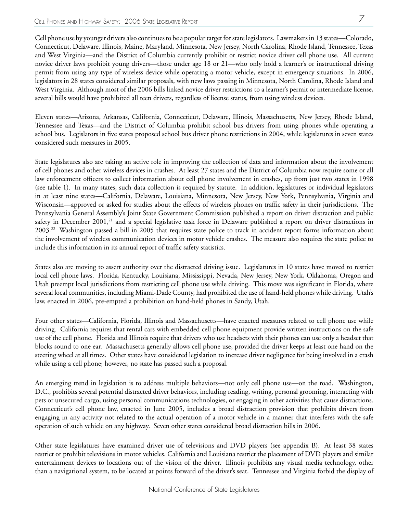Cell phone use by younger drivers also continues to be a popular target for state legislators. Lawmakers in 13 states—Colorado, Connecticut, Delaware, Illinois, Maine, Maryland, Minnesota, New Jersey, North Carolina, Rhode Island, Tennessee, Texas and West Virginia—and the District of Columbia currently prohibit or restrict novice driver cell phone use. All current novice driver laws prohibit young drivers—those under age 18 or 21—who only hold a learner's or instructional driving permit from using any type of wireless device while operating a motor vehicle, except in emergency situations. In 2006, legislators in 28 states considered similar proposals, with new laws passing in Minnesota, North Carolina, Rhode Island and West Virginia. Although most of the 2006 bills linked novice driver restrictions to a learner's permit or intermediate license, several bills would have prohibited all teen drivers, regardless of license status, from using wireless devices.

Eleven states—Arizona, Arkansas, California, Connecticut, Delaware, Illinois, Massachusetts, New Jersey, Rhode Island, Tennessee and Texas—and the District of Columbia prohibit school bus drivers from using phones while operating a school bus. Legislators in five states proposed school bus driver phone restrictions in 2004, while legislatures in seven states considered such measures in 2005.

State legislatures also are taking an active role in improving the collection of data and information about the involvement of cell phones and other wireless devices in crashes. At least 27 states and the District of Columbia now require some or all law enforcement officers to collect information about cell phone involvement in crashes, up from just two states in 1998 (see table 1). In many states, such data collection is required by statute. In addition, legislatures or individual legislators in at least nine states—California, Delaware, Louisiana, Minnesota, New Jersey, New York, Pennsylvania, Virginia and Wisconsin—approved or asked for studies about the effects of wireless phones on traffic safety in their jurisdictions. The Pennsylvania General Assembly's Joint State Government Commission published a report on driver distraction and public safety in December 2001, $^{21}$  and a special legislative task force in Delaware published a report on driver distractions in 2003.22 Washington passed a bill in 2005 that requires state police to track in accident report forms information about the involvement of wireless communication devices in motor vehicle crashes. The measure also requires the state police to include this information in its annual report of traffic safety statistics.

States also are moving to assert authority over the distracted driving issue. Legislatures in 10 states have moved to restrict local cell phone laws. Florida, Kentucky, Louisiana, Mississippi, Nevada, New Jersey, New York, Oklahoma, Oregon and Utah preempt local jurisdictions from restricting cell phone use while driving. This move was significant in Florida, where several local communities, including Miami-Dade County, had prohibited the use of hand-held phones while driving. Utah's law, enacted in 2006, pre-empted a prohibition on hand-held phones in Sandy, Utah.

Four other states—California, Florida, Illinois and Massachusetts—have enacted measures related to cell phone use while driving. California requires that rental cars with embedded cell phone equipment provide written instructions on the safe use of the cell phone. Florida and Illinois require that drivers who use headsets with their phones can use only a headset that blocks sound to one ear. Massachusetts generally allows cell phone use, provided the driver keeps at least one hand on the steering wheel at all times. Other states have considered legislation to increase driver negligence for being involved in a crash while using a cell phone; however, no state has passed such a proposal.

An emerging trend in legislation is to address multiple behaviors—not only cell phone use—on the road. Washington, D.C., prohibits several potential distracted driver behaviors, including reading, writing, personal grooming, interacting with pets or unsecured cargo, using personal communications technologies, or engaging in other activities that cause distractions. Connecticut's cell phone law, enacted in June 2005, includes a broad distraction provision that prohibits drivers from engaging in any activity not related to the actual operation of a motor vehicle in a manner that interferes with the safe operation of such vehicle on any highway. Seven other states considered broad distraction bills in 2006.

Other state legislatures have examined driver use of televisions and DVD players (see appendix B). At least 38 states restrict or prohibit televisions in motor vehicles. California and Louisiana restrict the placement of DVD players and similar entertainment devices to locations out of the vision of the driver. Illinois prohibits any visual media technology, other than a navigational system, to be located at points forward of the driver's seat. Tennessee and Virginia forbid the display of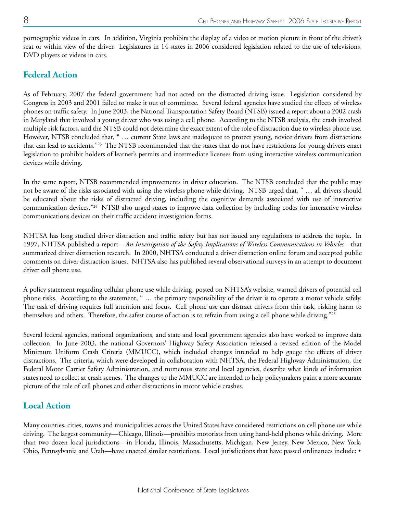pornographic videos in cars. In addition, Virginia prohibits the display of a video or motion picture in front of the driver's seat or within view of the driver. Legislatures in 14 states in 2006 considered legislation related to the use of televisions, DVD players or videos in cars.

## **Federal Action**

As of February, 2007 the federal government had not acted on the distracted driving issue. Legislation considered by Congress in 2003 and 2001 failed to make it out of committee. Several federal agencies have studied the effects of wireless phones on traffic safety. In June 2003, the National Transportation Safety Board (NTSB) issued a report about a 2002 crash in Maryland that involved a young driver who was using a cell phone. According to the NTSB analysis, the crash involved multiple risk factors, and the NTSB could not determine the exact extent of the role of distraction due to wireless phone use. However, NTSB concluded that, " … current State laws are inadequate to protect young, novice drivers from distractions that can lead to accidents."<sup>23</sup> The NTSB recommended that the states that do not have restrictions for young drivers enact legislation to prohibit holders of learner's permits and intermediate licenses from using interactive wireless communication devices while driving.

In the same report, NTSB recommended improvements in driver education. The NTSB concluded that the public may not be aware of the risks associated with using the wireless phone while driving. NTSB urged that, " … all drivers should be educated about the risks of distracted driving, including the cognitive demands associated with use of interactive communication devices."24 NTSB also urged states to improve data collection by including codes for interactive wireless communications devices on their traffic accident investigation forms.

NHTSA has long studied driver distraction and traffic safety but has not issued any regulations to address the topic. In 1997, NHTSA published a report—*An Investigation of the Safety Implications of Wireless Communications in Vehicles*—that summarized driver distraction research. In 2000, NHTSA conducted a driver distraction online forum and accepted public comments on driver distraction issues. NHTSA also has published several observational surveys in an attempt to document driver cell phone use.

A policy statement regarding cellular phone use while driving, posted on NHTSA's website, warned drivers of potential cell phone risks. According to the statement, " … the primary responsibility of the driver is to operate a motor vehicle safely. The task of driving requires full attention and focus. Cell phone use can distract drivers from this task, risking harm to themselves and others. Therefore, the safest course of action is to refrain from using a cell phone while driving."<sup>25</sup>

Several federal agencies, national organizations, and state and local government agencies also have worked to improve data collection. In June 2003, the national Governors' Highway Safety Association released a revised edition of the Model Minimum Uniform Crash Criteria (MMUCC), which included changes intended to help gauge the effects of driver distractions. The criteria, which were developed in collaboration with NHTSA, the Federal Highway Administration, the Federal Motor Carrier Safety Administration, and numerous state and local agencies, describe what kinds of information states need to collect at crash scenes. The changes to the MMUCC are intended to help policymakers paint a more accurate picture of the role of cell phones and other distractions in motor vehicle crashes.

#### **Local Action**

Many counties, cities, towns and municipalities across the United States have considered restrictions on cell phone use while driving. The largest community—Chicago, Illinois—prohibits motorists from using hand-held phones while driving. More than two dozen local jurisdictions—in Florida, Illinois, Massachusetts, Michigan, New Jersey, New Mexico, New York, Ohio, Pennsylvania and Utah—have enacted similar restrictions. Local jurisdictions that have passed ordinances include: •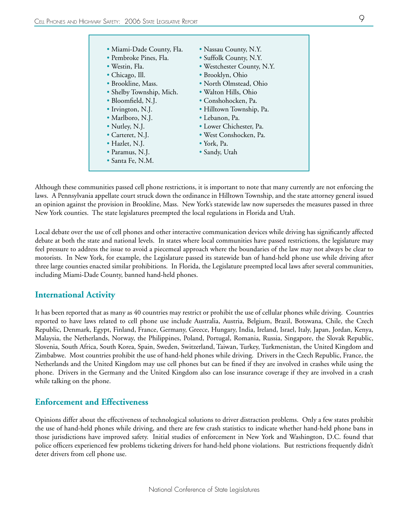| · Miami-Dade County, Fla. | • Nassau County, N.Y.      |
|---------------------------|----------------------------|
| • Pembroke Pines, Fla.    | • Suffolk County, N.Y.     |
| · Westin, Fla.            | • Westchester County, N.Y. |
| • Chicago, Ill.           | • Brooklyn, Ohio           |
| • Brookline, Mass.        | • North Olmstead, Ohio     |
| • Shelby Township, Mich.  | • Walton Hills, Ohio       |
| • Bloomfield, N.J.        | • Conshohocken, Pa.        |
| • Irvington, N.J.         | · Hilltown Township, Pa.   |
| • Marlboro, N.J.          | • Lebanon, Pa.             |
| • Nutley, N.J.            | • Lower Chichester, Pa.    |
| • Carteret, N.J.          | · West Conshocken, Pa.     |
| • Hazlet, N.J.            | $\bullet$ York, Pa.        |
| • Paramus, N.J.           | • Sandy, Utah              |
| $\bullet$ Santa Fe, N.M.  |                            |

Although these communities passed cell phone restrictions, it is important to note that many currently are not enforcing the laws. A Pennsylvania appellate court struck down the ordinance in Hilltown Township, and the state attorney general issued an opinion against the provision in Brookline, Mass. New York's statewide law now supersedes the measures passed in three New York counties. The state legislatures preempted the local regulations in Florida and Utah.

Local debate over the use of cell phones and other interactive communication devices while driving has significantly affected debate at both the state and national levels. In states where local communities have passed restrictions, the legislature may feel pressure to address the issue to avoid a piecemeal approach where the boundaries of the law may not always be clear to motorists. In New York, for example, the Legislature passed its statewide ban of hand-held phone use while driving after three large counties enacted similar prohibitions. In Florida, the Legislature preempted local laws after several communities, including Miami-Dade County, banned hand-held phones.

#### **International Activity**

It has been reported that as many as 40 countries may restrict or prohibit the use of cellular phones while driving. Countries reported to have laws related to cell phone use include Australia, Austria, Belgium, Brazil, Botswana, Chile, the Czech Republic, Denmark, Egypt, Finland, France, Germany, Greece, Hungary, India, Ireland, Israel, Italy, Japan, Jordan, Kenya, Malaysia, the Netherlands, Norway, the Philippines, Poland, Portugal, Romania, Russia, Singapore, the Slovak Republic, Slovenia, South Africa, South Korea, Spain, Sweden, Switzerland, Taiwan, Turkey, Turkmenistan, the United Kingdom and Zimbabwe. Most countries prohibit the use of hand-held phones while driving. Drivers in the Czech Republic, France, the Netherlands and the United Kingdom may use cell phones but can be fined if they are involved in crashes while using the phone. Drivers in the Germany and the United Kingdom also can lose insurance coverage if they are involved in a crash while talking on the phone.

#### **Enforcement and Effectiveness**

Opinions differ about the effectiveness of technological solutions to driver distraction problems. Only a few states prohibit the use of hand-held phones while driving, and there are few crash statistics to indicate whether hand-held phone bans in those jurisdictions have improved safety. Initial studies of enforcement in New York and Washington, D.C. found that police officers experienced few problems ticketing drivers for hand-held phone violations. But restrictions frequently didn't deter drivers from cell phone use.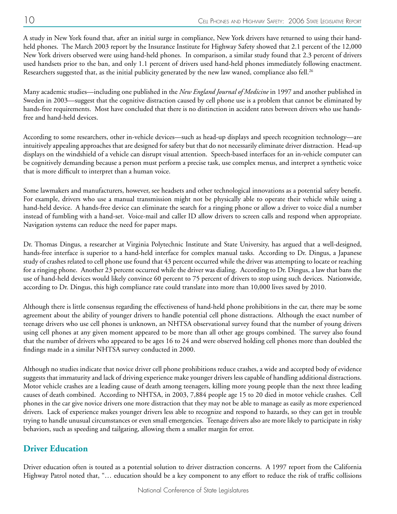A study in New York found that, after an initial surge in compliance, New York drivers have returned to using their handheld phones. The March 2003 report by the Insurance Institute for Highway Safety showed that 2.1 percent of the 12,000 New York drivers observed were using hand-held phones. In comparison, a similar study found that 2.3 percent of drivers used handsets prior to the ban, and only 1.1 percent of drivers used hand-held phones immediately following enactment. Researchers suggested that, as the initial publicity generated by the new law waned, compliance also fell.<sup>26</sup>

Many academic studies—including one published in the *New England Journal of Medicine* in 1997 and another published in Sweden in 2003—suggest that the cognitive distraction caused by cell phone use is a problem that cannot be eliminated by hands-free requirements. Most have concluded that there is no distinction in accident rates between drivers who use handsfree and hand-held devices.

According to some researchers, other in-vehicle devices—such as head-up displays and speech recognition technology—are intuitively appealing approaches that are designed for safety but that do not necessarily eliminate driver distraction. Head-up displays on the windshield of a vehicle can disrupt visual attention. Speech-based interfaces for an in-vehicle computer can be cognitively demanding because a person must perform a precise task, use complex menus, and interpret a synthetic voice that is more difficult to interpret than a human voice.

Some lawmakers and manufacturers, however, see headsets and other technological innovations as a potential safety benefit. For example, drivers who use a manual transmission might not be physically able to operate their vehicle while using a hand-held device. A hands-free device can eliminate the search for a ringing phone or allow a driver to voice dial a number instead of fumbling with a hand-set. Voice-mail and caller ID allow drivers to screen calls and respond when appropriate. Navigation systems can reduce the need for paper maps.

Dr. Thomas Dingus, a researcher at Virginia Polytechnic Institute and State University, has argued that a well-designed, hands-free interface is superior to a hand-held interface for complex manual tasks. According to Dr. Dingus, a Japanese study of crashes related to cell phone use found that 43 percent occurred while the driver was attempting to locate or reaching for a ringing phone. Another 23 percent occurred while the driver was dialing. According to Dr. Dingus, a law that bans the use of hand-held devices would likely convince 60 percent to 75 percent of drivers to stop using such devices. Nationwide, according to Dr. Dingus, this high compliance rate could translate into more than 10,000 lives saved by 2010.

Although there is little consensus regarding the effectiveness of hand-held phone prohibitions in the car, there may be some agreement about the ability of younger drivers to handle potential cell phone distractions. Although the exact number of teenage drivers who use cell phones is unknown, an NHTSA observational survey found that the number of young drivers using cell phones at any given moment appeared to be more than all other age groups combined. The survey also found that the number of drivers who appeared to be ages 16 to 24 and were observed holding cell phones more than doubled the findings made in a similar NHTSA survey conducted in 2000.

Although no studies indicate that novice driver cell phone prohibitions reduce crashes, a wide and accepted body of evidence suggests that immaturity and lack of driving experience make younger drivers less capable of handling additional distractions. Motor vehicle crashes are a leading cause of death among teenagers, killing more young people than the next three leading causes of death combined. According to NHTSA, in 2003, 7,884 people age 15 to 20 died in motor vehicle crashes. Cell phones in the car give novice drivers one more distraction that they may not be able to manage as easily as more experienced drivers. Lack of experience makes younger drivers less able to recognize and respond to hazards, so they can get in trouble trying to handle unusual circumstances or even small emergencies. Teenage drivers also are more likely to participate in risky behaviors, such as speeding and tailgating, allowing them a smaller margin for error.

## **Driver Education**

Driver education often is touted as a potential solution to driver distraction concerns. A 1997 report from the California Highway Patrol noted that, "… education should be a key component to any effort to reduce the risk of traffic collisions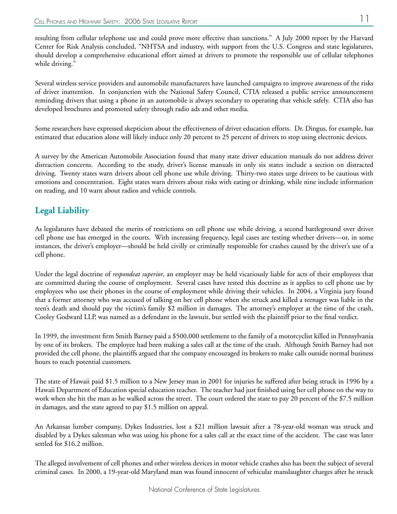resulting from cellular telephone use and could prove more effective than sanctions." A July 2000 report by the Harvard Center for Risk Analysis concluded, "NHTSA and industry, with support from the U.S. Congress and state legislatures, should develop a comprehensive educational effort aimed at drivers to promote the responsible use of cellular telephones while driving."

Several wireless service providers and automobile manufacturers have launched campaigns to improve awareness of the risks of driver inattention. In conjunction with the National Safety Council, CTIA released a public service announcement reminding drivers that using a phone in an automobile is always secondary to operating that vehicle safely. CTIA also has developed brochures and promoted safety through radio ads and other media.

Some researchers have expressed skepticism about the effectiveness of driver education efforts. Dr. Dingus, for example, has estimated that education alone will likely induce only 20 percent to 25 percent of drivers to stop using electronic devices.

A survey by the American Automobile Association found that many state driver education manuals do not address driver distraction concerns. According to the study, driver's license manuals in only six states include a section on distracted driving. Twenty states warn drivers about cell phone use while driving. Thirty-two states urge drivers to be cautious with emotions and concentration. Eight states warn drivers about risks with eating or drinking, while nine include information on reading, and 10 warn about radios and vehicle controls.

## **Legal Liability**

As legislatures have debated the merits of restrictions on cell phone use while driving, a second battleground over driver cell phone use has emerged in the courts. With increasing frequency, legal cases are testing whether drivers—or, in some instances, the driver's employer—should be held civilly or criminally responsible for crashes caused by the driver's use of a cell phone.

Under the legal doctrine of *respondeat superior*, an employer may be held vicariously liable for acts of their employees that are committed during the course of employment. Several cases have tested this doctrine as it applies to cell phone use by employees who use their phones in the course of employment while driving their vehicles. In 2004, a Virginia jury found that a former attorney who was accused of talking on her cell phone when she struck and killed a teenager was liable in the teen's death and should pay the victim's family \$2 million in damages. The attorney's employer at the time of the crash, Cooley Godward LLP, was named as a defendant in the lawsuit, but settled with the plaintiff prior to the final verdict.

In 1999, the investment firm Smith Barney paid a \$500,000 settlement to the family of a motorcyclist killed in Pennsylvania by one of its brokers. The employee had been making a sales call at the time of the crash. Although Smith Barney had not provided the cell phone, the plaintiffs argued that the company encouraged its brokers to make calls outside normal business hours to reach potential customers.

The state of Hawaii paid \$1.5 million to a New Jersey man in 2001 for injuries he suffered after being struck in 1996 by a Hawaii Department of Education special education teacher. The teacher had just finished using her cell phone on the way to work when she hit the man as he walked across the street. The court ordered the state to pay 20 percent of the \$7.5 million in damages, and the state agreed to pay \$1.5 million on appeal.

An Arkansas lumber company, Dykes Industries, lost a \$21 million lawsuit after a 78-year-old woman was struck and disabled by a Dykes salesman who was using his phone for a sales call at the exact time of the accident. The case was later settled for \$16.2 million.

The alleged involvement of cell phones and other wireless devices in motor vehicle crashes also has been the subject of several criminal cases. In 2000, a 19-year-old Maryland man was found innocent of vehicular manslaughter charges after he struck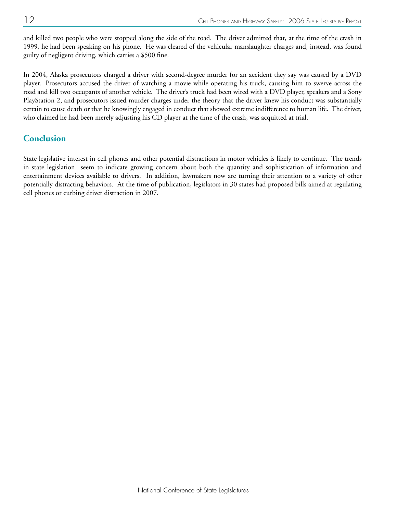and killed two people who were stopped along the side of the road. The driver admitted that, at the time of the crash in 1999, he had been speaking on his phone. He was cleared of the vehicular manslaughter charges and, instead, was found guilty of negligent driving, which carries a \$500 fine.

In 2004, Alaska prosecutors charged a driver with second-degree murder for an accident they say was caused by a DVD player. Prosecutors accused the driver of watching a movie while operating his truck, causing him to swerve across the road and kill two occupants of another vehicle. The driver's truck had been wired with a DVD player, speakers and a Sony PlayStation 2, and prosecutors issued murder charges under the theory that the driver knew his conduct was substantially certain to cause death or that he knowingly engaged in conduct that showed extreme indifference to human life. The driver, who claimed he had been merely adjusting his CD player at the time of the crash, was acquitted at trial.

## **Conclusion**

State legislative interest in cell phones and other potential distractions in motor vehicles is likely to continue. The trends in state legislation seem to indicate growing concern about both the quantity and sophistication of information and entertainment devices available to drivers. In addition, lawmakers now are turning their attention to a variety of other potentially distracting behaviors. At the time of publication, legislators in 30 states had proposed bills aimed at regulating cell phones or curbing driver distraction in 2007.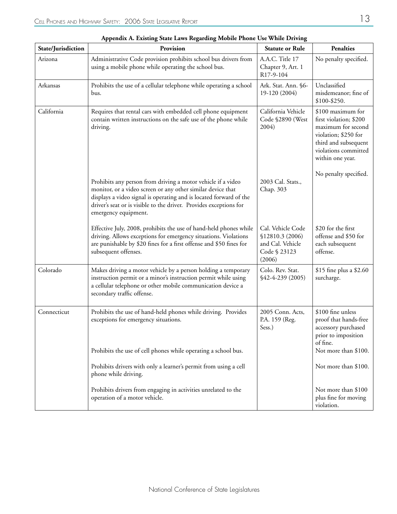|                    | r r<br>Provision                                                                                                                                                                                                                                                                                |                                                                                     | <b>Penalties</b>                                                                                                                                              |
|--------------------|-------------------------------------------------------------------------------------------------------------------------------------------------------------------------------------------------------------------------------------------------------------------------------------------------|-------------------------------------------------------------------------------------|---------------------------------------------------------------------------------------------------------------------------------------------------------------|
| State/Jurisdiction |                                                                                                                                                                                                                                                                                                 | <b>Statute or Rule</b>                                                              |                                                                                                                                                               |
| Arizona            | Administrative Code provision prohibits school bus drivers from<br>using a mobile phone while operating the school bus.                                                                                                                                                                         | A.A.C. Title 17<br>Chapter 9, Art. 1<br>R17-9-104                                   | No penalty specified.                                                                                                                                         |
| Arkansas           | Prohibits the use of a cellular telephone while operating a school<br>bus.                                                                                                                                                                                                                      | Ark. Stat. Ann. §6-<br>19-120 (2004)                                                | Unclassified<br>misdemeanor; fine of<br>\$100-\$250.                                                                                                          |
| California         | Requires that rental cars with embedded cell phone equipment<br>contain written instructions on the safe use of the phone while<br>driving.                                                                                                                                                     | California Vehicle<br>Code §2890 (West<br>2004)                                     | \$100 maximum for<br>first violation; \$200<br>maximum for second<br>violation; \$250 for<br>third and subsequent<br>violations committed<br>within one year. |
|                    | Prohibits any person from driving a motor vehicle if a video<br>monitor, or a video screen or any other similar device that<br>displays a video signal is operating and is located forward of the<br>driver's seat or is visible to the driver. Provides exceptions for<br>emergency equipment. | 2003 Cal. Stats.,<br>Chap. 303                                                      | No penalty specified.                                                                                                                                         |
|                    | Effective July, 2008, prohibits the use of hand-held phones while<br>driving. Allows exceptions for emergency situations. Violations<br>are punishable by \$20 fines for a first offense and \$50 fines for<br>subsequent offenses.                                                             | Cal. Vehicle Code<br>\$12810.3 (2006)<br>and Cal. Vehicle<br>Code § 23123<br>(2006) | \$20 for the first<br>offense and \$50 for<br>each subsequent<br>offense.                                                                                     |
| Colorado           | Makes driving a motor vehicle by a person holding a temporary<br>instruction permit or a minor's instruction permit while using<br>a cellular telephone or other mobile communication device a<br>secondary traffic offense.                                                                    | Colo. Rev. Stat.<br>\$42-4-239 (2005)                                               | \$15 fine plus a \$2.60<br>surcharge.                                                                                                                         |
| Connecticut        | Prohibits the use of hand-held phones while driving. Provides<br>exceptions for emergency situations.                                                                                                                                                                                           | 2005 Conn. Acts,<br>P.A. 159 (Reg.<br>Sess.)                                        | \$100 fine unless<br>proof that hands-free<br>accessory purchased<br>prior to imposition<br>of fine.                                                          |
|                    | Prohibits the use of cell phones while operating a school bus.                                                                                                                                                                                                                                  |                                                                                     | Not more than \$100.                                                                                                                                          |
|                    | Prohibits drivers with only a learner's permit from using a cell<br>phone while driving.                                                                                                                                                                                                        |                                                                                     | Not more than \$100.                                                                                                                                          |
|                    | Prohibits drivers from engaging in activities unrelated to the<br>operation of a motor vehicle.                                                                                                                                                                                                 |                                                                                     | Not more than \$100<br>plus fine for moving<br>violation.                                                                                                     |

| Appendix A. Existing State Laws Regarding Mobile Phone Use While Driving |  |  |  |
|--------------------------------------------------------------------------|--|--|--|
|                                                                          |  |  |  |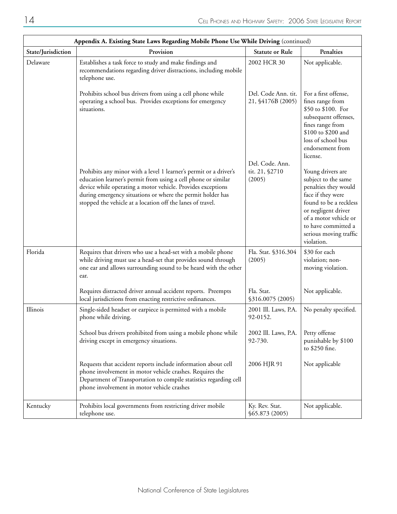| Appendix A. Existing State Laws Regarding Mobile Phone Use While Driving (continued) |                                                                                                                                                                                                                                                                                                                               |                                             |                                                                                                                                                                                                                                |  |
|--------------------------------------------------------------------------------------|-------------------------------------------------------------------------------------------------------------------------------------------------------------------------------------------------------------------------------------------------------------------------------------------------------------------------------|---------------------------------------------|--------------------------------------------------------------------------------------------------------------------------------------------------------------------------------------------------------------------------------|--|
| State/Jurisdiction                                                                   | Provision                                                                                                                                                                                                                                                                                                                     | <b>Statute or Rule</b>                      | Penalties                                                                                                                                                                                                                      |  |
| Delaware                                                                             | Establishes a task force to study and make findings and<br>recommendations regarding driver distractions, including mobile<br>telephone use.                                                                                                                                                                                  | 2002 HCR 30                                 | Not applicable.                                                                                                                                                                                                                |  |
|                                                                                      | Prohibits school bus drivers from using a cell phone while<br>operating a school bus. Provides exceptions for emergency<br>situations.                                                                                                                                                                                        | Del. Code Ann. tit.<br>21, \$4176B (2005)   | For a first offense,<br>fines range from<br>\$50 to \$100. For<br>subsequent offenses,<br>fines range from<br>\$100 to \$200 and<br>loss of school bus<br>endorsement from<br>license.                                         |  |
|                                                                                      | Prohibits any minor with a level 1 learner's permit or a driver's<br>education learner's permit from using a cell phone or similar<br>device while operating a motor vehicle. Provides exceptions<br>during emergency situations or where the permit holder has<br>stopped the vehicle at a location off the lanes of travel. | Del. Code. Ann.<br>tit. 21, §2710<br>(2005) | Young drivers are<br>subject to the same<br>penalties they would<br>face if they were<br>found to be a reckless<br>or negligent driver<br>of a motor vehicle or<br>to have committed a<br>serious moving traffic<br>violation. |  |
| Florida                                                                              | Requires that drivers who use a head-set with a mobile phone<br>while driving must use a head-set that provides sound through<br>one ear and allows surrounding sound to be heard with the other<br>ear.                                                                                                                      | Fla. Stat. §316.304<br>(2005)               | \$30 for each<br>violation; non-<br>moving violation.                                                                                                                                                                          |  |
|                                                                                      | Requires distracted driver annual accident reports. Preempts<br>local jurisdictions from enacting restrictive ordinances.                                                                                                                                                                                                     | Fla. Stat.<br>\$316.0075 (2005)             | Not applicable.                                                                                                                                                                                                                |  |
| Illinois                                                                             | Single-sided headset or earpiece is permitted with a mobile<br>phone while driving.                                                                                                                                                                                                                                           | 2001 Ill. Laws, P.A.<br>92-0152.            | No penalty specified.                                                                                                                                                                                                          |  |
|                                                                                      | School bus drivers prohibited from using a mobile phone while<br>driving except in emergency situations.                                                                                                                                                                                                                      | 2002 Ill. Laws, P.A.<br>92-730.             | Petty offense<br>punishable by \$100<br>to \$250 fine.                                                                                                                                                                         |  |
|                                                                                      | Requests that accident reports include information about cell<br>phone involvement in motor vehicle crashes. Requires the<br>Department of Transportation to compile statistics regarding cell<br>phone involvement in motor vehicle crashes                                                                                  | 2006 HJR 91                                 | Not applicable                                                                                                                                                                                                                 |  |
| Kentucky                                                                             | Prohibits local governments from restricting driver mobile<br>telephone use.                                                                                                                                                                                                                                                  | Ky. Rev. Stat.<br>\$65.873 (2005)           | Not applicable.                                                                                                                                                                                                                |  |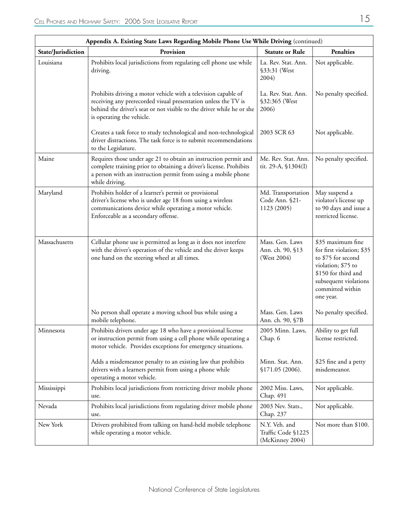| Appendix A. Existing State Laws Regarding Mobile Phone Use While Driving (continued) |                                                                                                                                                                                                                                        |                                                        |                                                                                                                                                                             |  |
|--------------------------------------------------------------------------------------|----------------------------------------------------------------------------------------------------------------------------------------------------------------------------------------------------------------------------------------|--------------------------------------------------------|-----------------------------------------------------------------------------------------------------------------------------------------------------------------------------|--|
| State/Jurisdiction                                                                   | Provision                                                                                                                                                                                                                              | <b>Statute or Rule</b>                                 | <b>Penalties</b>                                                                                                                                                            |  |
| Louisiana                                                                            | Prohibits local jurisdictions from regulating cell phone use while<br>driving.                                                                                                                                                         | La. Rev. Stat. Ann.<br>§33:31 (West<br>2004)           | Not applicable.                                                                                                                                                             |  |
|                                                                                      | Prohibits driving a motor vehicle with a television capable of<br>receiving any prerecorded visual presentation unless the TV is<br>behind the driver's seat or not visible to the driver while he or she<br>is operating the vehicle. | La. Rev. Stat. Ann.<br>§32:365 (West<br>2006)          | No penalty specified.                                                                                                                                                       |  |
|                                                                                      | Creates a task force to study technological and non-technological<br>driver distractions. The task force is to submit recommendations<br>to the Legislature.                                                                           | 2003 SCR 63                                            | Not applicable.                                                                                                                                                             |  |
| Maine                                                                                | Requires those under age 21 to obtain an instruction permit and<br>complete training prior to obtaining a driver's license. Prohibits<br>a person with an instruction permit from using a mobile phone<br>while driving.               | Me. Rev. Stat. Ann.<br>tit. 29-A, §1304(I)             | No penalty specified.                                                                                                                                                       |  |
| Maryland                                                                             | Prohibits holder of a learner's permit or provisional<br>driver's license who is under age 18 from using a wireless<br>communications device while operating a motor vehicle.<br>Enforceable as a secondary offense.                   | Md. Transportation<br>Code Ann. §21-<br>1123 (2005)    | May suspend a<br>violator's license up<br>to 90 days and issue a<br>restricted license.                                                                                     |  |
| Massachusetts                                                                        | Cellular phone use is permitted as long as it does not interfere<br>with the driver's operation of the vehicle and the driver keeps<br>one hand on the steering wheel at all times.                                                    | Mass. Gen. Laws<br>Ann. ch. 90, §13<br>(West 2004)     | \$35 maximum fine<br>for first violation; \$35<br>to \$75 for second<br>violation; \$75 to<br>\$150 for third and<br>subsequent violations<br>committed within<br>one year. |  |
|                                                                                      | No person shall operate a moving school bus while using a<br>mobile telephone.                                                                                                                                                         | Mass. Gen. Laws<br>Ann. ch. 90, §7B                    | No penalty specified.                                                                                                                                                       |  |
| Minnesota                                                                            | Prohibits drivers under age 18 who have a provisional license<br>or instruction permit from using a cell phone while operating a<br>motor vehicle. Provides exceptions for emergency situations.                                       | 2005 Minn. Laws,<br>Chap. 6                            | Ability to get full<br>license restricted.                                                                                                                                  |  |
|                                                                                      | Adds a misdemeanor penalty to an existing law that prohibits<br>drivers with a learners permit from using a phone while<br>operating a motor vehicle.                                                                                  | Minn. Stat. Ann.<br>\$171.05 (2006).                   | \$25 fine and a petty<br>misdemeanor.                                                                                                                                       |  |
| Mississippi                                                                          | Prohibits local jurisdictions from restricting driver mobile phone<br>use.                                                                                                                                                             | 2002 Miss. Laws,<br>Chap. 491                          | Not applicable.                                                                                                                                                             |  |
| Nevada                                                                               | Prohibits local jurisdictions from regulating driver mobile phone<br>use.                                                                                                                                                              | 2003 Nev. Stats.,<br>Chap. 237                         | Not applicable.                                                                                                                                                             |  |
| New York                                                                             | Drivers prohibited from talking on hand-held mobile telephone<br>while operating a motor vehicle.                                                                                                                                      | N.Y. Veh. and<br>Traffic Code §1225<br>(McKinney 2004) | Not more than \$100.                                                                                                                                                        |  |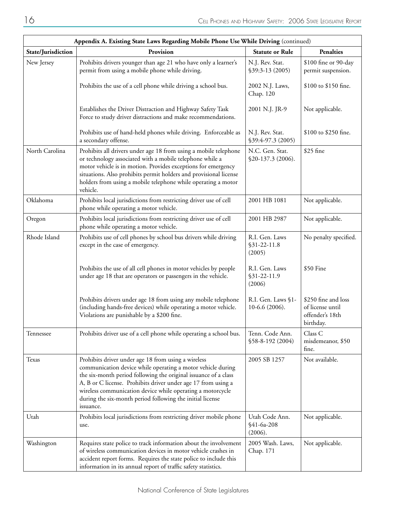| Appendix A. Existing State Laws Regarding Mobile Phone Use While Driving (continued) |                                                                                                                                                                                                                                                                                                                                                                                                |                                           |                                                                         |  |
|--------------------------------------------------------------------------------------|------------------------------------------------------------------------------------------------------------------------------------------------------------------------------------------------------------------------------------------------------------------------------------------------------------------------------------------------------------------------------------------------|-------------------------------------------|-------------------------------------------------------------------------|--|
| State/Jurisdiction                                                                   | Provision                                                                                                                                                                                                                                                                                                                                                                                      | <b>Statute or Rule</b>                    | <b>Penalties</b>                                                        |  |
| New Jersey                                                                           | Prohibits drivers younger than age 21 who have only a learner's<br>permit from using a mobile phone while driving.                                                                                                                                                                                                                                                                             | N.J. Rev. Stat.<br>$$39:3-13(2005)$       | \$100 fine or 90-day<br>permit suspension.                              |  |
|                                                                                      | Prohibits the use of a cell phone while driving a school bus.                                                                                                                                                                                                                                                                                                                                  | 2002 N.J. Laws,<br>Chap. 120              | \$100 to \$150 fine.                                                    |  |
|                                                                                      | Establishes the Driver Distraction and Highway Safety Task<br>Force to study driver distractions and make recommendations.                                                                                                                                                                                                                                                                     | 2001 N.J. JR-9                            | Not applicable.                                                         |  |
|                                                                                      | Prohibits use of hand-held phones while driving. Enforceable as<br>a secondary offense.                                                                                                                                                                                                                                                                                                        | N.J. Rev. Stat.<br>\$39:4-97.3 (2005)     | \$100 to \$250 fine.                                                    |  |
| North Carolina                                                                       | Prohibits all drivers under age 18 from using a mobile telephone<br>or technology associated with a mobile telephone while a<br>motor vehicle is in motion. Provides exceptions for emergency<br>situations. Also prohibits permit holders and provisional license<br>holders from using a mobile telephone while operating a motor<br>vehicle.                                                | N.C. Gen. Stat.<br>§20-137.3 (2006).      | \$25 fine                                                               |  |
| Oklahoma                                                                             | Prohibits local jurisdictions from restricting driver use of cell<br>phone while operating a motor vehicle.                                                                                                                                                                                                                                                                                    | 2001 HB 1081                              | Not applicable.                                                         |  |
| Oregon                                                                               | Prohibits local jurisdictions from restricting driver use of cell<br>phone while operating a motor vehicle.                                                                                                                                                                                                                                                                                    | 2001 HB 2987                              | Not applicable.                                                         |  |
| Rhode Island                                                                         | Prohibits use of cell phones by school bus drivers while driving<br>except in the case of emergency.                                                                                                                                                                                                                                                                                           | R.I. Gen. Laws<br>$$31-22-11.8$<br>(2005) | No penalty specified.                                                   |  |
|                                                                                      | Prohibits the use of all cell phones in motor vehicles by people<br>under age 18 that are operators or passengers in the vehicle.                                                                                                                                                                                                                                                              | R.I. Gen. Laws<br>$$31-22-11.9$<br>(2006) | \$50 Fine                                                               |  |
|                                                                                      | Prohibits drivers under age 18 from using any mobile telephone<br>(including hands-free devices) while operating a motor vehicle.<br>Violations are punishable by a \$200 fine.                                                                                                                                                                                                                | R.I. Gen. Laws §1-<br>$10-6.6(2006).$     | \$250 fine and loss<br>of license until<br>offender's 18th<br>birthday. |  |
| Tennessee                                                                            | Prohibits driver use of a cell phone while operating a school bus.                                                                                                                                                                                                                                                                                                                             | Tenn. Code Ann.<br>\$58-8-192 (2004)      | Class C<br>misdemeanor, \$50<br>fine.                                   |  |
| Texas                                                                                | Prohibits driver under age 18 from using a wireless<br>communication device while operating a motor vehicle during<br>the six-month period following the original issuance of a class<br>A, B or C license. Prohibits driver under age 17 from using a<br>wireless communication device while operating a motorcycle<br>during the six-month period following the initial license<br>issuance. | 2005 SB 1257                              | Not available.                                                          |  |
| Utah                                                                                 | Prohibits local jurisdictions from restricting driver mobile phone<br>use.                                                                                                                                                                                                                                                                                                                     | Utah Code Ann.<br>$$41-6a-208$<br>(2006). | Not applicable.                                                         |  |
| Washington                                                                           | Requires state police to track information about the involvement<br>of wireless communication devices in motor vehicle crashes in<br>accident report forms. Requires the state police to include this<br>information in its annual report of traffic safety statistics.                                                                                                                        | 2005 Wash. Laws,<br>Chap. 171             | Not applicable.                                                         |  |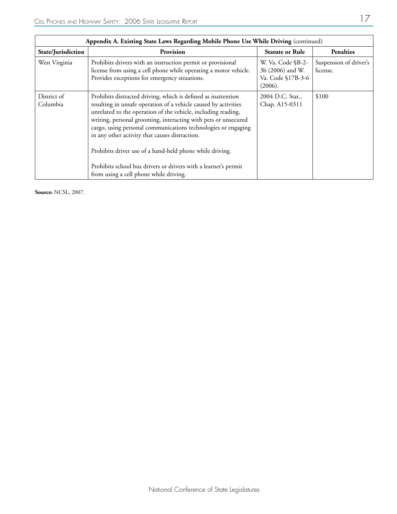| Appendix A. Existing State Laws Regarding Mobile Phone Use While Driving (continued) |                                                                                                                                                                                                                                                                                                                                                                                                                                                                                                                                                                 |                                                                       |                                    |
|--------------------------------------------------------------------------------------|-----------------------------------------------------------------------------------------------------------------------------------------------------------------------------------------------------------------------------------------------------------------------------------------------------------------------------------------------------------------------------------------------------------------------------------------------------------------------------------------------------------------------------------------------------------------|-----------------------------------------------------------------------|------------------------------------|
| State/Jurisdiction                                                                   | Provision                                                                                                                                                                                                                                                                                                                                                                                                                                                                                                                                                       | <b>Statute or Rule</b>                                                | <b>Penalties</b>                   |
| West Virginia                                                                        | Prohibits drivers with an instruction permit or provisional<br>license from using a cell phone while operating a motor vehicle.<br>Provides exceptions for emergency situations.                                                                                                                                                                                                                                                                                                                                                                                | W. Va. Code §B-2-<br>3b (2006) and W.<br>Va. Code §17B-3-6<br>(2006). | Suspension of driver's<br>license. |
| District of<br>Columbia                                                              | Prohibits distracted driving, which is defined as inattention<br>resulting in unsafe operation of a vehicle caused by activities<br>unrelated to the operation of the vehicle, including reading,<br>writing, personal grooming, interacting with pets or unsecured<br>cargo, using personal communications technologies or engaging<br>in any other activity that causes distraction.<br>Prohibits driver use of a hand-held phone while driving.<br>Prohibits school bus drivers or drivers with a learner's permit<br>from using a cell phone while driving. | 2004 D.C. Stat.,<br>Chap. A15-0311                                    | \$100                              |

**Source:** NCSL, 2007.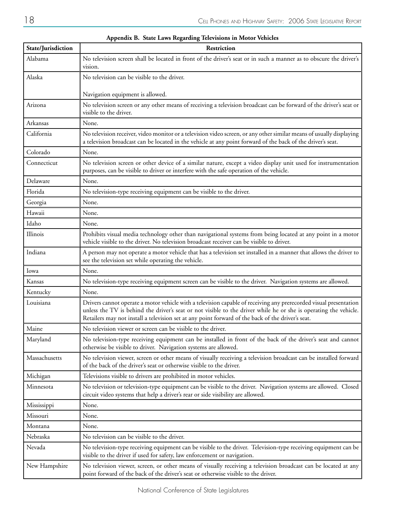| State/Jurisdiction | Restriction                                                                                                                                                                                                                                                                                                                                |
|--------------------|--------------------------------------------------------------------------------------------------------------------------------------------------------------------------------------------------------------------------------------------------------------------------------------------------------------------------------------------|
| Alabama            | No television screen shall be located in front of the driver's seat or in such a manner as to obscure the driver's<br>vision.                                                                                                                                                                                                              |
| Alaska             | No television can be visible to the driver.                                                                                                                                                                                                                                                                                                |
|                    | Navigation equipment is allowed.                                                                                                                                                                                                                                                                                                           |
| Arizona            | No television screen or any other means of receiving a television broadcast can be forward of the driver's seat or<br>visible to the driver.                                                                                                                                                                                               |
| Arkansas           | None.                                                                                                                                                                                                                                                                                                                                      |
| California         | No television receiver, video monitor or a television video screen, or any other similar means of usually displaying<br>a television broadcast can be located in the vehicle at any point forward of the back of the driver's seat.                                                                                                        |
| Colorado           | None.                                                                                                                                                                                                                                                                                                                                      |
| Connecticut        | No television screen or other device of a similar nature, except a video display unit used for instrumentation<br>purposes, can be visible to driver or interfere with the safe operation of the vehicle.                                                                                                                                  |
| Delaware           | None.                                                                                                                                                                                                                                                                                                                                      |
| Florida            | No television-type receiving equipment can be visible to the driver.                                                                                                                                                                                                                                                                       |
| Georgia            | None.                                                                                                                                                                                                                                                                                                                                      |
| Hawaii             | None.                                                                                                                                                                                                                                                                                                                                      |
| Idaho              | None.                                                                                                                                                                                                                                                                                                                                      |
| Illinois           | Prohibits visual media technology other than navigational systems from being located at any point in a motor<br>vehicle visible to the driver. No television broadcast receiver can be visible to driver.                                                                                                                                  |
| Indiana            | A person may not operate a motor vehicle that has a television set installed in a manner that allows the driver to<br>see the television set while operating the vehicle.                                                                                                                                                                  |
| Iowa               | None.                                                                                                                                                                                                                                                                                                                                      |
| Kansas             | No television-type receiving equipment screen can be visible to the driver. Navigation systems are allowed.                                                                                                                                                                                                                                |
| Kentucky           | None.                                                                                                                                                                                                                                                                                                                                      |
| Louisiana          | Drivers cannot operate a motor vehicle with a television capable of receiving any prerecorded visual presentation<br>unless the TV is behind the driver's seat or not visible to the driver while he or she is operating the vehicle.<br>Retailers may not install a television set at any point forward of the back of the driver's seat. |
| Maine              | No television viewer or screen can be visible to the driver.                                                                                                                                                                                                                                                                               |
| Maryland           | No television-type receiving equipment can be installed in front of the back of the driver's seat and cannot<br>otherwise be visible to driver. Navigation systems are allowed.                                                                                                                                                            |
| Massachusetts      | No television viewer, screen or other means of visually receiving a television broadcast can be installed forward<br>of the back of the driver's seat or otherwise visible to the driver.                                                                                                                                                  |
| Michigan           | Televisions visible to drivers are prohibited in motor vehicles.                                                                                                                                                                                                                                                                           |
| Minnesota          | No television or television-type equipment can be visible to the driver. Navigation systems are allowed. Closed<br>circuit video systems that help a driver's rear or side visibility are allowed.                                                                                                                                         |
| Mississippi        | None.                                                                                                                                                                                                                                                                                                                                      |
| Missouri           | None.                                                                                                                                                                                                                                                                                                                                      |
| Montana            | None.                                                                                                                                                                                                                                                                                                                                      |
| Nebraska           | No television can be visible to the driver.                                                                                                                                                                                                                                                                                                |
| Nevada             | No television-type receiving equipment can be visible to the driver. Television-type receiving equipment can be<br>visible to the driver if used for safety, law enforcement or navigation.                                                                                                                                                |
| New Hampshire      | No television viewer, screen, or other means of visually receiving a television broadcast can be located at any<br>point forward of the back of the driver's seat or otherwise visible to the driver.                                                                                                                                      |

#### **Appendix B. State Laws Regarding Televisions in Motor Vehicles**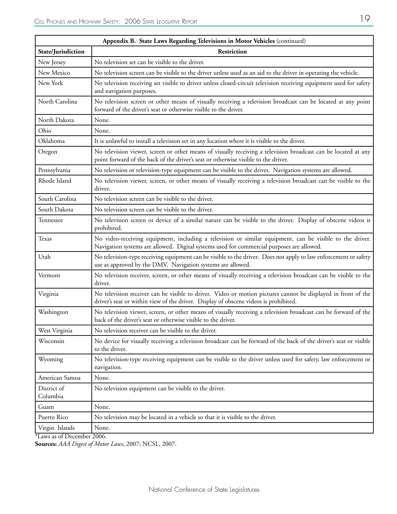| Appendix B. State Laws Regarding Televisions in Motor Vehicles (continued) |                                                                                                                                                                                                       |  |  |
|----------------------------------------------------------------------------|-------------------------------------------------------------------------------------------------------------------------------------------------------------------------------------------------------|--|--|
| State/Jurisdiction                                                         | Restriction                                                                                                                                                                                           |  |  |
| New Jersey                                                                 | No television set can be visible to the driver.                                                                                                                                                       |  |  |
| New Mexico                                                                 | No television screen can be visible to the driver unless used as an aid to the driver in operating the vehicle.                                                                                       |  |  |
| New York                                                                   | No television receiving set visible to driver unless closed-circuit television receiving equipment used for safety<br>and navigation purposes.                                                        |  |  |
| North Carolina                                                             | No television screen or other means of visually receiving a television broadcast can be located at any point<br>forward of the driver's seat or otherwise visible to the driver.                      |  |  |
| North Dakota                                                               | None.                                                                                                                                                                                                 |  |  |
| Ohio                                                                       | None.                                                                                                                                                                                                 |  |  |
| Oklahoma                                                                   | It is unlawful to install a television set in any location where it is visible to the driver.                                                                                                         |  |  |
| Oregon                                                                     | No television viewer, screen or other means of visually receiving a television broadcast can be located at any<br>point forward of the back of the driver's seat or otherwise visible to the driver.  |  |  |
| Pennsylvania                                                               | No television or television-type equipment can be visible to the driver. Navigation systems are allowed.                                                                                              |  |  |
| Rhode Island                                                               | No television viewer, screen, or other means of visually receiving a television broadcast can be visible to the<br>driver.                                                                            |  |  |
| South Carolina                                                             | No television screen can be visible to the driver.                                                                                                                                                    |  |  |
| South Dakota                                                               | No television screen can be visible to the driver.                                                                                                                                                    |  |  |
| Tennessee                                                                  | No television screen or device of a similar nature can be visible to the driver. Display of obscene videos is<br>prohibited.                                                                          |  |  |
| <b>Texas</b>                                                               | No video-receiving equipment, including a television or similar equipment, can be visible to the driver.<br>Navigation systems are allowed. Digital systems used for commercial purposes are allowed. |  |  |
| Utah                                                                       | No television-type receiving equipment can be visible to the driver. Does not apply to law enforcement or safety<br>use as approved by the DMV. Navigation systems are allowed.                       |  |  |
| Vermont                                                                    | No television receiver, screen, or other means of visually receiving a television broadcast can be visible to the<br>driver.                                                                          |  |  |
| Virginia                                                                   | No television receiver can be visible to driver. Video or motion pictures cannot be displayed in front of the<br>driver's seat or within view of the driver. Display of obscene videos is prohibited. |  |  |
| Washington                                                                 | No television viewer, screen, or other means of visually receiving a television broadcast can be forward of the<br>back of the driver's seat or otherwise visible to the driver.                      |  |  |
| West Virginia                                                              | No television receiver can be visible to the driver.                                                                                                                                                  |  |  |
| Wisconsin                                                                  | No device for visually receiving a television broadcast can be forward of the back of the driver's seat or visible<br>to the driver.                                                                  |  |  |
| Wyoming                                                                    | No television-type receiving equipment can be visible to the driver unless used for safety, law enforcement or<br>navigation.                                                                         |  |  |
| American Samoa                                                             | None.                                                                                                                                                                                                 |  |  |
| District of<br>Columbia                                                    | No television equipment can be visible to the driver.                                                                                                                                                 |  |  |
| Guam                                                                       | None.                                                                                                                                                                                                 |  |  |
| Puerto Rico                                                                | No television may be located in a vehicle so that it is visible to the driver.                                                                                                                        |  |  |
| Virgin Islands                                                             | None.                                                                                                                                                                                                 |  |  |
| . 1.                                                                       | $\overline{200}$                                                                                                                                                                                      |  |  |

| Appendix B. State Laws Regarding Televisions in Motor Vehicles (cont |  |
|----------------------------------------------------------------------|--|
|                                                                      |  |

\*Laws as of December 2006.

**Sources:** *AAA Digest of Motor Laws*, 2007; NCSL, 2007.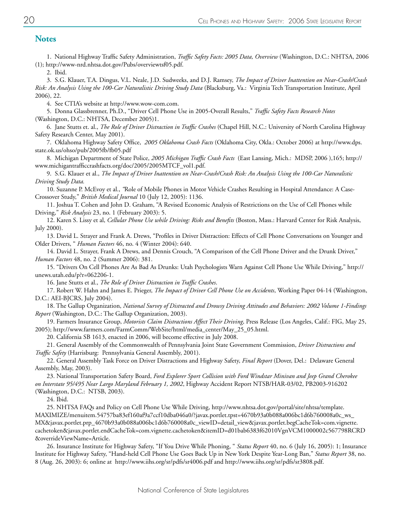#### **Notes**

1. National Highway Traffic Safety Administration, *Traffic Safety Facts: 2005 Data, Overview* (Washington, D.C.: NHTSA, 2006 (1); http://www-nrd.nhtsa.dot.gov/Pubs/overviewtsf05.pdf.

2. Ibid.

3. S.G. Klauer, T.A. Dingus, V.L. Neale, J.D. Sudweeks, and D.J. Ramsey, *The Impact of Driver Inattention on Near-Crash/Crash Risk: An Analysis Using the 100-Car Naturalistic Driving Study Data* (Blacksburg, Va.: Virginia Tech Transportation Institute, April 2006), 22.

4. See CTIA's website at http://www.wow-com.com.

5. Donna Glassbrenner, Ph.D., "Driver Cell Phone Use in 2005-Overall Results," *Traffic Safety Facts Research Notes* (Washington, D.C.: NHTSA, December 2005)1.

6. Jane Stutts et. al., *The Role of Driver Distraction in Traffic Crashes* (Chapel Hill, N.C.: University of North Carolina Highway Safety Research Center, May 2001).

7. Oklahoma Highway Safety Office, *2005 Oklahoma Crash Facts* (Oklahoma City, Okla.: October 2006) at http://www.dps. state.ok.us/ohso/pub/2005fb/fb05.pdf

8. Michigan Department of State Police, *2005 Michigan Traffic Crash Facts* (East Lansing, Mich.: MDSP, 2006 ),165; http:// www.michigantrafficcrashfacts.org/doc/2005/2005MTCF\_vol1.pdf.

9. S.G. Klauer et al., *The Impact of Driver Inattention on Near-Crash/Crash Risk: An Analysis Using the 100-Car Naturalistic Driving Study Data.*

10. Suzanne P. McEvoy et al., *"*Role of Mobile Phones in Motor Vehicle Crashes Resulting in Hospital Attendance: A Case-Crossover Study," *British Medical Journal* 10 (July 12, 2005): 1136.

11. Joshua T. Cohen and John D. Graham, "A Revised Economic Analysis of Restrictions on the Use of Cell Phones while Driving," *Risk Analysis* 23, no. 1 (February 2003): 5.

12. Karen S. Lissy et al, *Cellular Phone Use while Driving: Risks and Benefits* (Boston, Mass.: Harvard Center for Risk Analysis, July 2000).

13. David L. Strayer and Frank A. Drews, "Profiles in Driver Distraction: Effects of Cell Phone Conversations on Younger and Older Drivers, " *Human Factors* 46, no. 4 (Winter 2004): 640.

14. David L. Strayer, Frank A Drews, and Dennis Crouch, "A Comparison of the Cell Phone Driver and the Drunk Driver," *Human Factors* 48, no. 2 (Summer 2006): 381.

15. "Drivers On Cell Phones Are As Bad As Drunks: Utah Psychologists Warn Against Cell Phone Use While Driving," http:// unews.utah.edu/p?r=062206-1.

16. Jane Stutts et al., *The Role of Driver Distraction in Traffic Crashes*.

17. Robert W. Hahn and James E. Prieger, *The Impact of Driver Cell Phone Use on Accidents*, Working Paper 04-14 (Washington, D.C.: AEI-BJCRS, July 2004).

18. The Gallup Organization, *National Survey of Distracted and Drowsy Driving Attitudes and Behaviors: 2002 Volume 1-Findings Report* (Washington, D.C.: The Gallup Organization, 2003).

19. Farmers Insurance Group, *Motorists Claim Distractions Affect Their Driving*, Press Release (Los Angeles, Calif.: FIG, May 25, 2005); http://www.farmers.com/FarmComm/WebSite/html/media\_center/May\_25\_05.html.

20. California SB 1613, enacted in 2006, will become effective in July 2008.

21. General Assembly of the Commonwealth of Pennsylvania Joint State Government Commission, *Driver Distractions and Traffic Safety* (Harrisburg: Pennsylvania General Assembly, 2001).

22. General Assembly Task Force on Driver Distractions and Highway Safety, *Final Report* (Dover, Del.: Delaware General Assembly, May, 2003).

23. National Transportation Safety Board, *Ford Explorer Sport Collision with Ford Windstar Minivan and Jeep Grand Cherokee on Interstate 95/495 Near Largo Maryland February 1, 2002*, Highway Accident Report NTSB/HAR-03/02, PB2003-916202 (Washington, D.C.: NTSB, 2003).

24. Ibid.

25. NHTSA FAQs and Policy on Cell Phone Use While Driving, http://www.nhtsa.dot.gov/portal/site/nhtsa/template. MAXIMIZE/menuitem.54757ba83ef160af9a7ccf10dba046a0/?javax.portlet.tpst=4670b93a0b088a006bc1d6b760008a0c\_ws\_ MX&javax.portlet.prp\_4670b93a0b088a006bc1d6b760008a0c\_viewID=detail\_view&javax.portlet.begCacheTok=com.vignette. cachetoken&javax.portlet.endCacheTok=com.vignette.cachetoken&itemID=d01bab6383f62010VgnVCM1000002c567798RCRD &overrideViewName=Article.

26. Insurance Institute for Highway Safety, "If You Drive While Phoning, " *Status Report* 40, no. 6 (July 16, 2005): 1; Insurance Institute for Highway Safety, "Hand-held Cell Phone Use Goes Back Up in New York Despite Year-Long Ban," *Status Report* 38, no. 8 (Aug. 26, 2003): 6; online at http://www.iihs.org/sr/pdfs/sr4006.pdf and http://www.iihs.org/sr/pdfs/sr3808.pdf.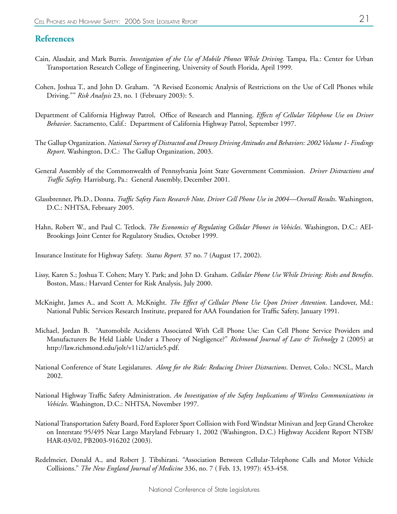#### **References**

- Cain, Alasdair, and Mark Burris. *Investigation of the Use of Mobile Phones While Driving*. Tampa, Fla.: Center for Urban Transportation Research College of Engineering, University of South Florida, April 1999.
- Cohen, Joshua T., and John D. Graham. "A Revised Economic Analysis of Restrictions on the Use of Cell Phones while Driving."" *Risk Analysis* 23, no. 1 (February 2003): 5.
- Department of California Highway Patrol, Office of Research and Planning. *Effects of Cellular Telephone Use on Driver Behavior*. Sacramento, Calif.: Department of California Highway Patrol, September 1997.
- The Gallup Organization. *National Survey of Distracted and Drowsy Driving Attitudes and Behaviors: 2002 Volume 1- Findings Report*. Washington, D.C.: The Gallup Organization, 2003.
- General Assembly of the Commonwealth of Pennsylvania Joint State Government Commission. *Driver Distractions and Traffic Safety.* Harrisburg, Pa.: General Assembly, December 2001.
- Glassbrenner, Ph.D., Donna. *Traffic Safety Facts Research Note, Driver Cell Phone Use in 2004—Overall Results*. Washington, D.C.: NHTSA, February 2005.
- Hahn, Robert W., and Paul C. Tetlock. *The Economics of Regulating Cellular Phones in Vehicles*. Washington, D.C.: AEI-Brookings Joint Center for Regulatory Studies, October 1999.
- Insurance Institute for Highway Safety. *Status Report.* 37 no. 7 (August 17, 2002).
- Lissy, Karen S.; Joshua T. Cohen; Mary Y. Park; and John D. Graham. *Cellular Phone Use While Driving: Risks and Benefits*. Boston, Mass.: Harvard Center for Risk Analysis, July 2000.
- McKnight, James A., and Scott A. McKnight. *The Effect of Cellular Phone Use Upon Driver Attention*. Landover, Md.: National Public Services Research Institute, prepared for AAA Foundation for Traffic Safety, January 1991.
- Michael, Jordan B. "Automobile Accidents Associated With Cell Phone Use: Can Cell Phone Service Providers and Manufacturers Be Held Liable Under a Theory of Negligence?" *Richmond Journal of Law & Technolgy* 2 (2005) at http://law.richmond.edu/jolt/v11i2/article5.pdf.
- National Conference of State Legislatures. *Along for the Ride: Reducing Driver Distractions*. Denver, Colo.: NCSL, March 2002.
- National Highway Traffic Safety Administration. *An Investigation of the Safety Implications of Wireless Communications in Vehicles*. Washington, D.C.: NHTSA, November 1997.
- National Transportation Safety Board, Ford Explorer Sport Collision with Ford Windstar Minivan and Jeep Grand Cherokee on Interstate 95/495 Near Largo Maryland February 1, 2002 (Washington, D.C.) Highway Accident Report NTSB/ HAR-03/02, PB2003-916202 (2003).
- Redelmeier, Donald A., and Robert J. Tibshirani. "Association Between Cellular-Telephone Calls and Motor Vehicle Collisions." *The New England Journal of Medicine* 336, no. 7 ( Feb. 13, 1997): 453-458.